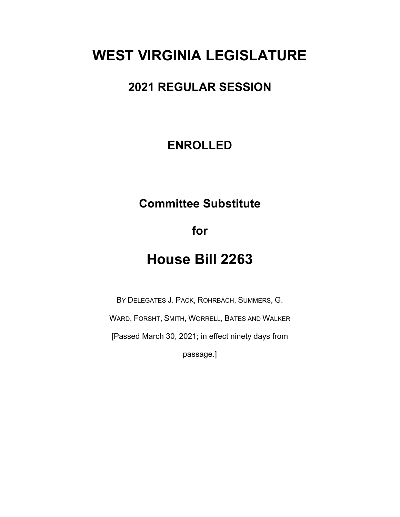# **WEST VIRGINIA LEGISLATURE**

# **2021 REGULAR SESSION**

# **ENROLLED**

# **Committee Substitute**

**for**

# **House Bill 2263**

BY DELEGATES J. PACK, ROHRBACH, SUMMERS, G.

WARD, FORSHT, SMITH, WORRELL, BATES AND WALKER

[Passed March 30, 2021; in effect ninety days from

passage.]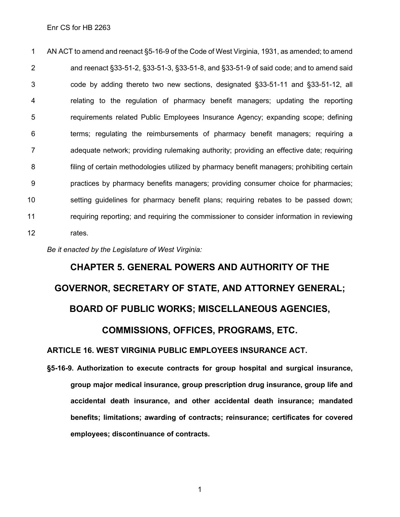AN ACT to amend and reenact §5-16-9 of the Code of West Virginia, 1931, as amended; to amend and reenact §33-51-2, §33-51-3, §33-51-8, and §33-51-9 of said code; and to amend said code by adding thereto two new sections, designated §33-51-11 and §33-51-12, all relating to the regulation of pharmacy benefit managers; updating the reporting requirements related Public Employees Insurance Agency; expanding scope; defining terms; regulating the reimbursements of pharmacy benefit managers; requiring a adequate network; providing rulemaking authority; providing an effective date; requiring filing of certain methodologies utilized by pharmacy benefit managers; prohibiting certain practices by pharmacy benefits managers; providing consumer choice for pharmacies; setting guidelines for pharmacy benefit plans; requiring rebates to be passed down; requiring reporting; and requiring the commissioner to consider information in reviewing 12 rates.

*Be it enacted by the Legislature of West Virginia:*

# **CHAPTER 5. GENERAL POWERS AND AUTHORITY OF THE GOVERNOR, SECRETARY OF STATE, AND ATTORNEY GENERAL; BOARD OF PUBLIC WORKS; MISCELLANEOUS AGENCIES, COMMISSIONS, OFFICES, PROGRAMS, ETC.**

## **ARTICLE 16. WEST VIRGINIA PUBLIC EMPLOYEES INSURANCE ACT.**

**§5-16-9. Authorization to execute contracts for group hospital and surgical insurance, group major medical insurance, group prescription drug insurance, group life and accidental death insurance, and other accidental death insurance; mandated benefits; limitations; awarding of contracts; reinsurance; certificates for covered employees; discontinuance of contracts.**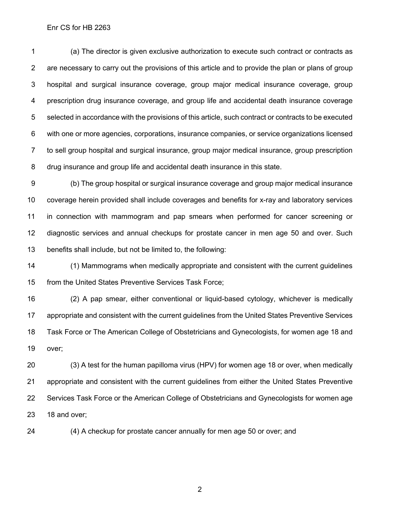(a) The director is given exclusive authorization to execute such contract or contracts as are necessary to carry out the provisions of this article and to provide the plan or plans of group hospital and surgical insurance coverage, group major medical insurance coverage, group prescription drug insurance coverage, and group life and accidental death insurance coverage selected in accordance with the provisions of this article, such contract or contracts to be executed with one or more agencies, corporations, insurance companies, or service organizations licensed to sell group hospital and surgical insurance, group major medical insurance, group prescription drug insurance and group life and accidental death insurance in this state.

 (b) The group hospital or surgical insurance coverage and group major medical insurance coverage herein provided shall include coverages and benefits for x-ray and laboratory services in connection with mammogram and pap smears when performed for cancer screening or diagnostic services and annual checkups for prostate cancer in men age 50 and over. Such benefits shall include, but not be limited to, the following:

 (1) Mammograms when medically appropriate and consistent with the current guidelines from the United States Preventive Services Task Force;

 (2) A pap smear, either conventional or liquid-based cytology, whichever is medically appropriate and consistent with the current guidelines from the United States Preventive Services Task Force or The American College of Obstetricians and Gynecologists, for women age 18 and over;

 (3) A test for the human papilloma virus (HPV) for women age 18 or over, when medically appropriate and consistent with the current guidelines from either the United States Preventive Services Task Force or the American College of Obstetricians and Gynecologists for women age 18 and over;

(4) A checkup for prostate cancer annually for men age 50 or over; and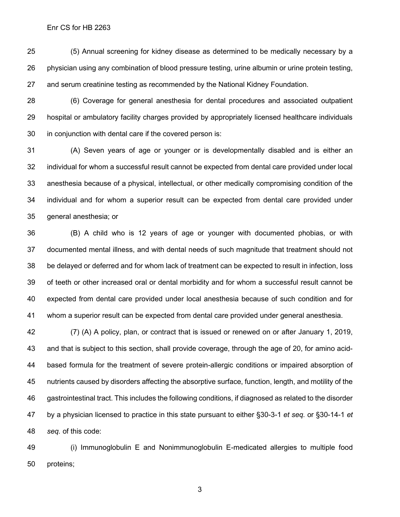(5) Annual screening for kidney disease as determined to be medically necessary by a physician using any combination of blood pressure testing, urine albumin or urine protein testing, and serum creatinine testing as recommended by the National Kidney Foundation.

 (6) Coverage for general anesthesia for dental procedures and associated outpatient hospital or ambulatory facility charges provided by appropriately licensed healthcare individuals in conjunction with dental care if the covered person is:

 (A) Seven years of age or younger or is developmentally disabled and is either an individual for whom a successful result cannot be expected from dental care provided under local anesthesia because of a physical, intellectual, or other medically compromising condition of the individual and for whom a superior result can be expected from dental care provided under general anesthesia; or

 (B) A child who is 12 years of age or younger with documented phobias, or with documented mental illness, and with dental needs of such magnitude that treatment should not be delayed or deferred and for whom lack of treatment can be expected to result in infection, loss of teeth or other increased oral or dental morbidity and for whom a successful result cannot be expected from dental care provided under local anesthesia because of such condition and for whom a superior result can be expected from dental care provided under general anesthesia.

 (7) (A) A policy, plan, or contract that is issued or renewed on or after January 1, 2019, and that is subject to this section, shall provide coverage, through the age of 20, for amino acid- based formula for the treatment of severe protein-allergic conditions or impaired absorption of nutrients caused by disorders affecting the absorptive surface, function, length, and motility of the gastrointestinal tract. This includes the following conditions, if diagnosed as related to the disorder by a physician licensed to practice in this state pursuant to either §30-3-1 *et seq.* or §30-14-1 *et seq.* of this code:

 (i) Immunoglobulin E and Nonimmunoglobulin E-medicated allergies to multiple food proteins;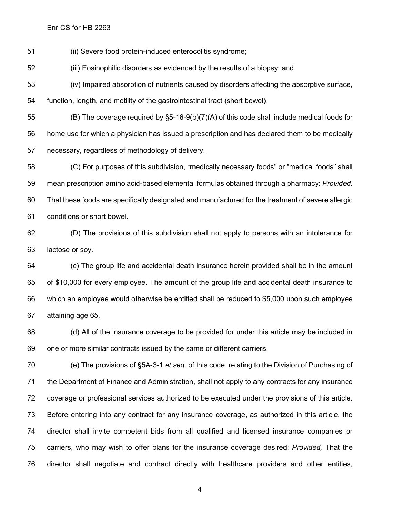(ii) Severe food protein-induced enterocolitis syndrome;

(iii) Eosinophilic disorders as evidenced by the results of a biopsy; and

 (iv) Impaired absorption of nutrients caused by disorders affecting the absorptive surface, function, length, and motility of the gastrointestinal tract (short bowel).

 (B) The coverage required by §5-16-9(b)(7)(A) of this code shall include medical foods for home use for which a physician has issued a prescription and has declared them to be medically necessary, regardless of methodology of delivery.

 (C) For purposes of this subdivision, "medically necessary foods" or "medical foods" shall mean prescription amino acid-based elemental formulas obtained through a pharmacy: *Provided,* That these foods are specifically designated and manufactured for the treatment of severe allergic conditions or short bowel.

 (D) The provisions of this subdivision shall not apply to persons with an intolerance for lactose or soy.

 (c) The group life and accidental death insurance herein provided shall be in the amount of \$10,000 for every employee. The amount of the group life and accidental death insurance to which an employee would otherwise be entitled shall be reduced to \$5,000 upon such employee attaining age 65.

 (d) All of the insurance coverage to be provided for under this article may be included in one or more similar contracts issued by the same or different carriers.

 (e) The provisions of §5A-3-1 *et seq.* of this code, relating to the Division of Purchasing of the Department of Finance and Administration, shall not apply to any contracts for any insurance coverage or professional services authorized to be executed under the provisions of this article. Before entering into any contract for any insurance coverage, as authorized in this article, the director shall invite competent bids from all qualified and licensed insurance companies or carriers, who may wish to offer plans for the insurance coverage desired: *Provided,* That the director shall negotiate and contract directly with healthcare providers and other entities,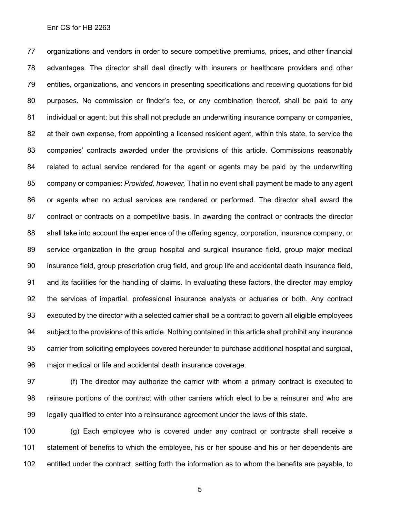organizations and vendors in order to secure competitive premiums, prices, and other financial advantages. The director shall deal directly with insurers or healthcare providers and other entities, organizations, and vendors in presenting specifications and receiving quotations for bid purposes. No commission or finder's fee, or any combination thereof, shall be paid to any individual or agent; but this shall not preclude an underwriting insurance company or companies, 82 at their own expense, from appointing a licensed resident agent, within this state, to service the companies' contracts awarded under the provisions of this article. Commissions reasonably 84 related to actual service rendered for the agent or agents may be paid by the underwriting company or companies: *Provided, however,* That in no event shall payment be made to any agent or agents when no actual services are rendered or performed. The director shall award the contract or contracts on a competitive basis. In awarding the contract or contracts the director shall take into account the experience of the offering agency, corporation, insurance company, or service organization in the group hospital and surgical insurance field, group major medical insurance field, group prescription drug field, and group life and accidental death insurance field, and its facilities for the handling of claims. In evaluating these factors, the director may employ the services of impartial, professional insurance analysts or actuaries or both. Any contract executed by the director with a selected carrier shall be a contract to govern all eligible employees subject to the provisions of this article. Nothing contained in this article shall prohibit any insurance carrier from soliciting employees covered hereunder to purchase additional hospital and surgical, major medical or life and accidental death insurance coverage.

 (f) The director may authorize the carrier with whom a primary contract is executed to reinsure portions of the contract with other carriers which elect to be a reinsurer and who are legally qualified to enter into a reinsurance agreement under the laws of this state.

 (g) Each employee who is covered under any contract or contracts shall receive a statement of benefits to which the employee, his or her spouse and his or her dependents are entitled under the contract, setting forth the information as to whom the benefits are payable, to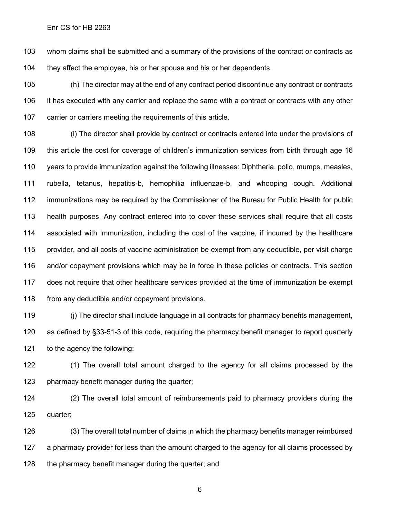103 whom claims shall be submitted and a summary of the provisions of the contract or contracts as they affect the employee, his or her spouse and his or her dependents.

 (h) The director may at the end of any contract period discontinue any contract or contracts 106 it has executed with any carrier and replace the same with a contract or contracts with any other carrier or carriers meeting the requirements of this article.

 (i) The director shall provide by contract or contracts entered into under the provisions of this article the cost for coverage of children's immunization services from birth through age 16 years to provide immunization against the following illnesses: Diphtheria, polio, mumps, measles, rubella, tetanus, hepatitis-b, hemophilia influenzae-b, and whooping cough. Additional immunizations may be required by the Commissioner of the Bureau for Public Health for public health purposes. Any contract entered into to cover these services shall require that all costs associated with immunization, including the cost of the vaccine, if incurred by the healthcare provider, and all costs of vaccine administration be exempt from any deductible, per visit charge and/or copayment provisions which may be in force in these policies or contracts. This section does not require that other healthcare services provided at the time of immunization be exempt 118 from any deductible and/or copayment provisions.

 (j) The director shall include language in all contracts for pharmacy benefits management, as defined by §33-51-3 of this code, requiring the pharmacy benefit manager to report quarterly to the agency the following:

 (1) The overall total amount charged to the agency for all claims processed by the pharmacy benefit manager during the quarter;

 (2) The overall total amount of reimbursements paid to pharmacy providers during the quarter;

 (3) The overall total number of claims in which the pharmacy benefits manager reimbursed a pharmacy provider for less than the amount charged to the agency for all claims processed by 128 the pharmacy benefit manager during the quarter; and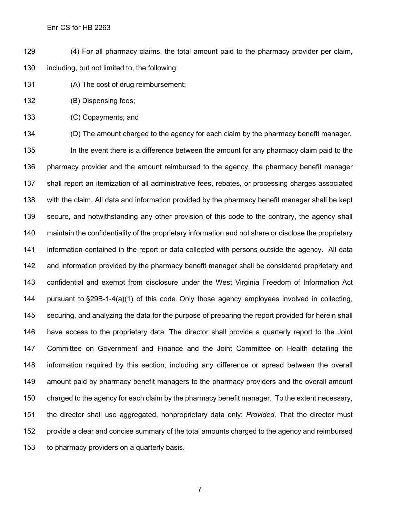(4) For all pharmacy claims, the total amount paid to the pharmacy provider per claim, including, but not limited to, the following:

(A) The cost of drug reimbursement;

(B) Dispensing fees;

(C) Copayments; and

 (D) The amount charged to the agency for each claim by the pharmacy benefit manager. 135 In the event there is a difference between the amount for any pharmacy claim paid to the pharmacy provider and the amount reimbursed to the agency, the pharmacy benefit manager shall report an itemization of all administrative fees, rebates, or processing charges associated with the claim. All data and information provided by the pharmacy benefit manager shall be kept secure, and notwithstanding any other provision of this code to the contrary, the agency shall maintain the confidentiality of the proprietary information and not share or disclose the proprietary information contained in the report or data collected with persons outside the agency. All data and information provided by the pharmacy benefit manager shall be considered proprietary and confidential and exempt from disclosure under the West Virginia Freedom of Information Act pursuant to [§29B-1-4\(](http://code.wvlegislature.gov/29B-1-4)a)(1) of this code*.* Only those agency employees involved in collecting, securing, and analyzing the data for the purpose of preparing the report provided for herein shall have access to the proprietary data. The director shall provide a quarterly report to the Joint Committee on Government and Finance and the Joint Committee on Health detailing the information required by this section, including any difference or spread between the overall amount paid by pharmacy benefit managers to the pharmacy providers and the overall amount charged to the agency for each claim by the pharmacy benefit manager. To the extent necessary, the director shall use aggregated, nonproprietary data only: *Provided,* That the director must provide a clear and concise summary of the total amounts charged to the agency and reimbursed to pharmacy providers on a quarterly basis.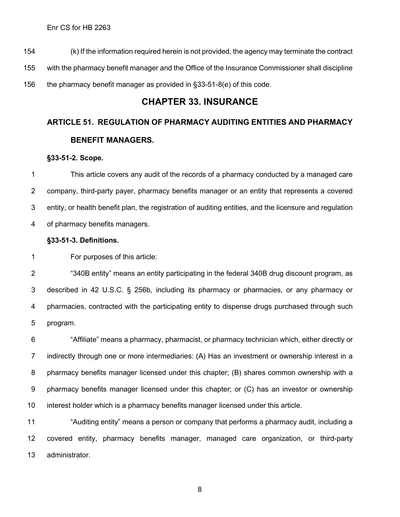(k) If the information required herein is not provided, the agency may terminate the contract with the pharmacy benefit manager and the Office of the Insurance Commissioner shall discipline the pharmacy benefit manager as provided in [§33-51-8\(](http://code.wvlegislature.gov/33-51-8)e) of this code.

## **CHAPTER 33. INSURANCE**

# **ARTICLE 51. REGULATION OF PHARMACY AUDITING ENTITIES AND PHARMACY BENEFIT MANAGERS.**

## **§33-51-2. Scope.**

 This article covers any audit of the records of a pharmacy conducted by a managed care company, third-party payer, pharmacy benefits manager or an entity that represents a covered entity, or health benefit plan, the registration of auditing entities, and the licensure and regulation of pharmacy benefits managers.

## **§33-51-3. Definitions.**

For purposes of this article:

 "340B entity" means an entity participating in the federal 340B drug discount program, as described in 42 U.S.C. § 256b, including its pharmacy or pharmacies, or any pharmacy or pharmacies, contracted with the participating entity to dispense drugs purchased through such program.

 "Affiliate" means a pharmacy, pharmacist, or pharmacy technician which, either directly or indirectly through one or more intermediaries: (A) Has an investment or ownership interest in a pharmacy benefits manager licensed under this chapter; (B) shares common ownership with a pharmacy benefits manager licensed under this chapter; or (C) has an investor or ownership interest holder which is a pharmacy benefits manager licensed under this article.

 "Auditing entity" means a person or company that performs a pharmacy audit, including a covered entity, pharmacy benefits manager, managed care organization, or third-party administrator.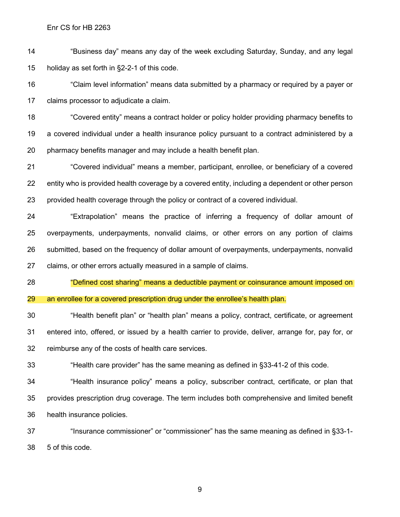"Business day" means any day of the week excluding Saturday, Sunday, and any legal holiday as set forth in §2-2-1 of this code.

 "Claim level information" means data submitted by a pharmacy or required by a payer or claims processor to adjudicate a claim.

 "Covered entity" means a contract holder or policy holder providing pharmacy benefits to a covered individual under a health insurance policy pursuant to a contract administered by a pharmacy benefits manager and may include a health benefit plan.

 "Covered individual" means a member, participant, enrollee, or beneficiary of a covered 22 entity who is provided health coverage by a covered entity, including a dependent or other person provided health coverage through the policy or contract of a covered individual.

 "Extrapolation" means the practice of inferring a frequency of dollar amount of overpayments, underpayments, nonvalid claims, or other errors on any portion of claims submitted, based on the frequency of dollar amount of overpayments, underpayments, nonvalid claims, or other errors actually measured in a sample of claims.

"Defined cost sharing" means a deductible payment or coinsurance amount imposed on

an enrollee for a covered prescription drug under the enrollee's health plan.

 "Health benefit plan" or "health plan" means a policy, contract, certificate, or agreement entered into, offered, or issued by a health carrier to provide, deliver, arrange for, pay for, or reimburse any of the costs of health care services.

"Health care provider" has the same meaning as defined in §33-41-2 of this code.

 "Health insurance policy" means a policy, subscriber contract, certificate, or plan that provides prescription drug coverage. The term includes both comprehensive and limited benefit health insurance policies.

 "Insurance commissioner" or "commissioner" has the same meaning as defined in §33-1- 5 of this code.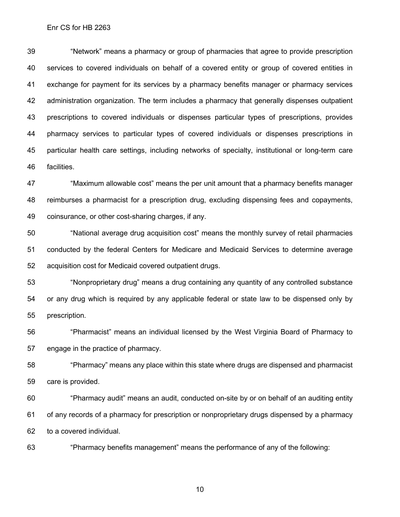"Network" means a pharmacy or group of pharmacies that agree to provide prescription services to covered individuals on behalf of a covered entity or group of covered entities in exchange for payment for its services by a pharmacy benefits manager or pharmacy services administration organization. The term includes a pharmacy that generally dispenses outpatient prescriptions to covered individuals or dispenses particular types of prescriptions, provides pharmacy services to particular types of covered individuals or dispenses prescriptions in particular health care settings, including networks of specialty, institutional or long-term care facilities.

 "Maximum allowable cost" means the per unit amount that a pharmacy benefits manager reimburses a pharmacist for a prescription drug, excluding dispensing fees and copayments, coinsurance, or other cost-sharing charges, if any.

 "National average drug acquisition cost" means the monthly survey of retail pharmacies conducted by the federal Centers for Medicare and Medicaid Services to determine average acquisition cost for Medicaid covered outpatient drugs.

 "Nonproprietary drug" means a drug containing any quantity of any controlled substance or any drug which is required by any applicable federal or state law to be dispensed only by prescription.

 "Pharmacist" means an individual licensed by the West Virginia Board of Pharmacy to engage in the practice of pharmacy.

 "Pharmacy" means any place within this state where drugs are dispensed and pharmacist care is provided.

 "Pharmacy audit" means an audit, conducted on-site by or on behalf of an auditing entity of any records of a pharmacy for prescription or nonproprietary drugs dispensed by a pharmacy to a covered individual.

"Pharmacy benefits management" means the performance of any of the following: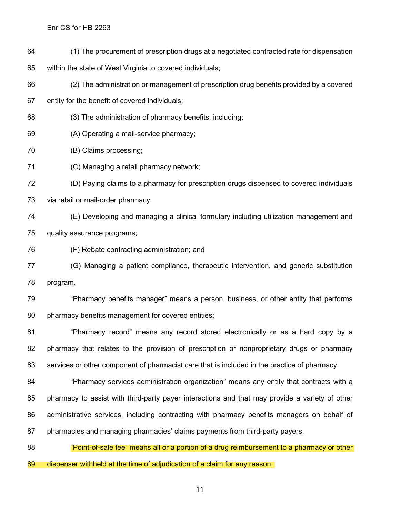(1) The procurement of prescription drugs at a negotiated contracted rate for dispensation

within the state of West Virginia to covered individuals;

(2) The administration or management of prescription drug benefits provided by a covered

entity for the benefit of covered individuals;

- (3) The administration of pharmacy benefits, including:
- (A) Operating a mail-service pharmacy;

(B) Claims processing;

(C) Managing a retail pharmacy network;

 (D) Paying claims to a pharmacy for prescription drugs dispensed to covered individuals via retail or mail-order pharmacy;

 (E) Developing and managing a clinical formulary including utilization management and quality assurance programs;

(F) Rebate contracting administration; and

 (G) Managing a patient compliance, therapeutic intervention, and generic substitution program.

 "Pharmacy benefits manager" means a person, business, or other entity that performs pharmacy benefits management for covered entities;

 "Pharmacy record" means any record stored electronically or as a hard copy by a pharmacy that relates to the provision of prescription or nonproprietary drugs or pharmacy services or other component of pharmacist care that is included in the practice of pharmacy.

 "Pharmacy services administration organization" means any entity that contracts with a pharmacy to assist with third-party payer interactions and that may provide a variety of other administrative services, including contracting with pharmacy benefits managers on behalf of pharmacies and managing pharmacies' claims payments from third-party payers.

88 "Point-of-sale fee" means all or a portion of a drug reimbursement to a pharmacy or other dispenser withheld at the time of adjudication of a claim for any reason.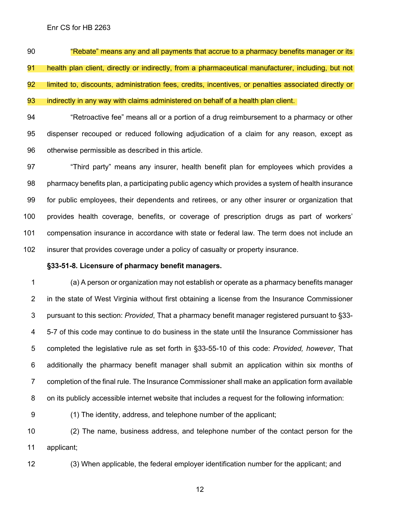"Rebate" means any and all payments that accrue to a pharmacy benefits manager or its health plan client, directly or indirectly, from a pharmaceutical manufacturer, including, but not limited to, discounts, administration fees, credits, incentives, or penalties associated directly or indirectly in any way with claims administered on behalf of a health plan client.

 "Retroactive fee" means all or a portion of a drug reimbursement to a pharmacy or other dispenser recouped or reduced following adjudication of a claim for any reason, except as otherwise permissible as described in this article.

 "Third party" means any insurer, health benefit plan for employees which provides a 98 pharmacy benefits plan, a participating public agency which provides a system of health insurance for public employees, their dependents and retirees, or any other insurer or organization that provides health coverage, benefits, or coverage of prescription drugs as part of workers' compensation insurance in accordance with state or federal law. The term does not include an insurer that provides coverage under a policy of casualty or property insurance.

## **§33-51-8. Licensure of pharmacy benefit managers.**

 (a) A person or organization may not establish or operate as a pharmacy benefits manager in the state of West Virginia without first obtaining a license from the Insurance Commissioner pursuant to this section: *Provided*, That a pharmacy benefit manager registered pursuant to §33- 5-7 of this code may continue to do business in the state until the Insurance Commissioner has completed the legislative rule as set forth in §33-55-10 of this code: *Provided, however*, That additionally the pharmacy benefit manager shall submit an application within six months of completion of the final rule. The Insurance Commissioner shall make an application form available on its publicly accessible internet website that includes a request for the following information:

(1) The identity, address, and telephone number of the applicant;

 (2) The name, business address, and telephone number of the contact person for the applicant;

(3) When applicable, the federal employer identification number for the applicant; and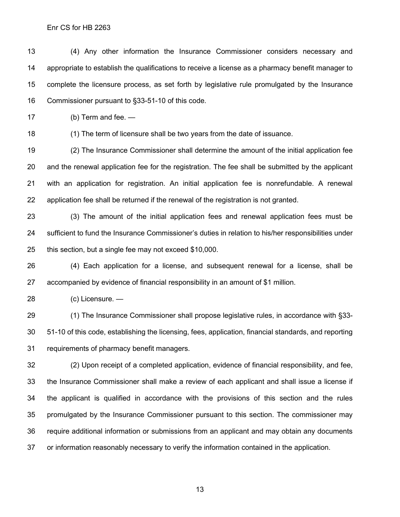(4) Any other information the Insurance Commissioner considers necessary and appropriate to establish the qualifications to receive a license as a pharmacy benefit manager to complete the licensure process, as set forth by legislative rule promulgated by the Insurance Commissioner pursuant to §33-51-10 of this code.

(b) Term and fee. —

(1) The term of licensure shall be two years from the date of issuance.

 (2) The Insurance Commissioner shall determine the amount of the initial application fee and the renewal application fee for the registration. The fee shall be submitted by the applicant with an application for registration. An initial application fee is nonrefundable. A renewal application fee shall be returned if the renewal of the registration is not granted.

 (3) The amount of the initial application fees and renewal application fees must be sufficient to fund the Insurance Commissioner's duties in relation to his/her responsibilities under this section, but a single fee may not exceed \$10,000.

 (4) Each application for a license, and subsequent renewal for a license, shall be accompanied by evidence of financial responsibility in an amount of \$1 million.

(c) Licensure. —

 (1) The Insurance Commissioner shall propose legislative rules, in accordance with §33- 51-10 of this code, establishing the licensing, fees, application, financial standards, and reporting requirements of pharmacy benefit managers.

 (2) Upon receipt of a completed application, evidence of financial responsibility, and fee, the Insurance Commissioner shall make a review of each applicant and shall issue a license if the applicant is qualified in accordance with the provisions of this section and the rules promulgated by the Insurance Commissioner pursuant to this section. The commissioner may require additional information or submissions from an applicant and may obtain any documents or information reasonably necessary to verify the information contained in the application.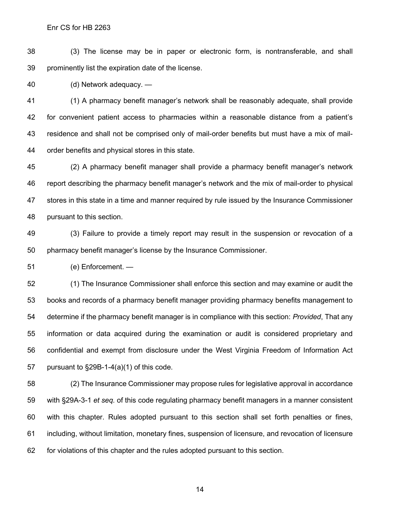(3) The license may be in paper or electronic form, is nontransferable, and shall prominently list the expiration date of the license.

(d) Network adequacy. —

 (1) A pharmacy benefit manager's network shall be reasonably adequate, shall provide for convenient patient access to pharmacies within a reasonable distance from a patient's residence and shall not be comprised only of mail-order benefits but must have a mix of mail-order benefits and physical stores in this state.

 (2) A pharmacy benefit manager shall provide a pharmacy benefit manager's network report describing the pharmacy benefit manager's network and the mix of mail-order to physical stores in this state in a time and manner required by rule issued by the Insurance Commissioner pursuant to this section.

 (3) Failure to provide a timely report may result in the suspension or revocation of a pharmacy benefit manager's license by the Insurance Commissioner.

(e) Enforcement. —

 (1) The Insurance Commissioner shall enforce this section and may examine or audit the books and records of a pharmacy benefit manager providing pharmacy benefits management to determine if the pharmacy benefit manager is in compliance with this section: *Provided*, That any information or data acquired during the examination or audit is considered proprietary and confidential and exempt from disclosure under the West Virginia Freedom of Information Act pursuant to §29B-1-4(a)(1) of this code.

 (2) The Insurance Commissioner may propose rules for legislative approval in accordance with §29A-3-1 *et seq.* of this code regulating pharmacy benefit managers in a manner consistent with this chapter. Rules adopted pursuant to this section shall set forth penalties or fines, including, without limitation, monetary fines, suspension of licensure, and revocation of licensure for violations of this chapter and the rules adopted pursuant to this section.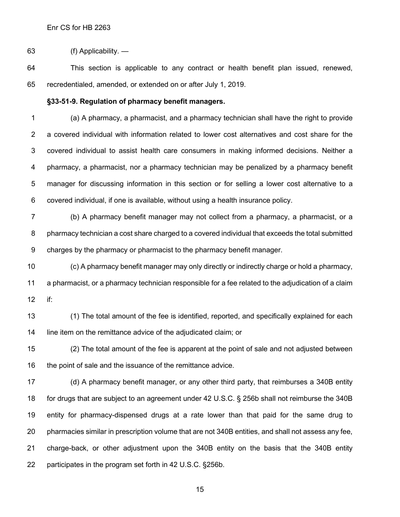(f) Applicability. —

 This section is applicable to any contract or health benefit plan issued, renewed, recredentialed, amended, or extended on or after July 1, 2019.

### **§33-51-9. Regulation of pharmacy benefit managers.**

 (a) A pharmacy, a pharmacist, and a pharmacy technician shall have the right to provide a covered individual with information related to lower cost alternatives and cost share for the covered individual to assist health care consumers in making informed decisions. Neither a pharmacy, a pharmacist, nor a pharmacy technician may be penalized by a pharmacy benefit manager for discussing information in this section or for selling a lower cost alternative to a covered individual, if one is available, without using a health insurance policy.

 (b) A pharmacy benefit manager may not collect from a pharmacy, a pharmacist, or a pharmacy technician a cost share charged to a covered individual that exceeds the total submitted charges by the pharmacy or pharmacist to the pharmacy benefit manager.

 (c) A pharmacy benefit manager may only directly or indirectly charge or hold a pharmacy, a pharmacist, or a pharmacy technician responsible for a fee related to the adjudication of a claim if:

 (1) The total amount of the fee is identified, reported, and specifically explained for each line item on the remittance advice of the adjudicated claim; or

 (2) The total amount of the fee is apparent at the point of sale and not adjusted between 16 the point of sale and the issuance of the remittance advice.

 (d) A pharmacy benefit manager, or any other third party, that reimburses a 340B entity for drugs that are subject to an agreement under 42 U.S.C. § 256b shall not reimburse the 340B entity for pharmacy-dispensed drugs at a rate lower than that paid for the same drug to pharmacies similar in prescription volume that are not 340B entities, and shall not assess any fee, charge-back, or other adjustment upon the 340B entity on the basis that the 340B entity participates in the program set forth in 42 U.S.C. §256b.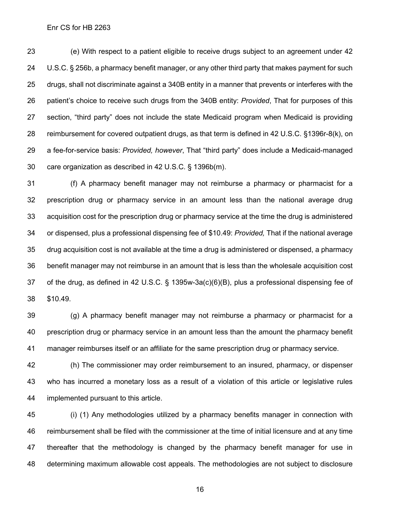(e) With respect to a patient eligible to receive drugs subject to an agreement under 42 U.S.C. § 256b, a pharmacy benefit manager, or any other third party that makes payment for such drugs, shall not discriminate against a 340B entity in a manner that prevents or interferes with the patient's choice to receive such drugs from the 340B entity: *Provided*, That for purposes of this section, "third party" does not include the state Medicaid program when Medicaid is providing reimbursement for covered outpatient drugs, as that term is defined in 42 U.S.C. §1396r-8(k), on a fee-for-service basis: *Provided, however*, That "third party" does include a Medicaid-managed care organization as described in 42 U.S.C. § 1396b(m).

 (f) A pharmacy benefit manager may not reimburse a pharmacy or pharmacist for a prescription drug or pharmacy service in an amount less than the national average drug acquisition cost for the prescription drug or pharmacy service at the time the drug is administered or dispensed, plus a professional dispensing fee of \$10.49: *Provided,* That if the national average drug acquisition cost is not available at the time a drug is administered or dispensed, a pharmacy benefit manager may not reimburse in an amount that is less than the wholesale acquisition cost of the drug, as defined in 42 U.S.C. § 1395w-3a(c)(6)(B), plus a professional dispensing fee of \$10.49.

 (g) A pharmacy benefit manager may not reimburse a pharmacy or pharmacist for a prescription drug or pharmacy service in an amount less than the amount the pharmacy benefit manager reimburses itself or an affiliate for the same prescription drug or pharmacy service.

 (h) The commissioner may order reimbursement to an insured, pharmacy, or dispenser who has incurred a monetary loss as a result of a violation of this article or legislative rules implemented pursuant to this article.

 (i) (1) Any methodologies utilized by a pharmacy benefits manager in connection with reimbursement shall be filed with the commissioner at the time of initial licensure and at any time thereafter that the methodology is changed by the pharmacy benefit manager for use in determining maximum allowable cost appeals. The methodologies are not subject to disclosure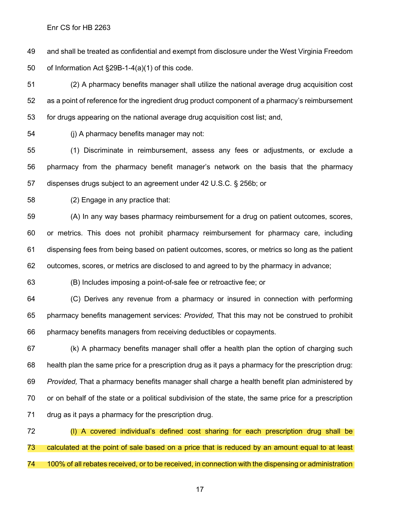and shall be treated as confidential and exempt from disclosure under the West Virginia Freedom of Information Act §29B-1-4(a)(1) of this code.

 (2) A pharmacy benefits manager shall utilize the national average drug acquisition cost as a point of reference for the ingredient drug product component of a pharmacy's reimbursement for drugs appearing on the national average drug acquisition cost list; and,

(j) A pharmacy benefits manager may not:

 (1) Discriminate in reimbursement, assess any fees or adjustments, or exclude a pharmacy from the pharmacy benefit manager's network on the basis that the pharmacy dispenses drugs subject to an agreement under 42 U.S.C. § 256b; or

(2) Engage in any practice that:

 (A) In any way bases pharmacy reimbursement for a drug on patient outcomes, scores, or metrics. This does not prohibit pharmacy reimbursement for pharmacy care, including dispensing fees from being based on patient outcomes, scores, or metrics so long as the patient outcomes, scores, or metrics are disclosed to and agreed to by the pharmacy in advance;

(B) Includes imposing a point-of-sale fee or retroactive fee; or

 (C) Derives any revenue from a pharmacy or insured in connection with performing pharmacy benefits management services: *Provided,* That this may not be construed to prohibit pharmacy benefits managers from receiving deductibles or copayments.

 (k) A pharmacy benefits manager shall offer a health plan the option of charging such health plan the same price for a prescription drug as it pays a pharmacy for the prescription drug: *Provided,* That a pharmacy benefits manager shall charge a health benefit plan administered by or on behalf of the state or a political subdivision of the state, the same price for a prescription drug as it pays a pharmacy for the prescription drug.

 (l) A covered individual's defined cost sharing for each prescription drug shall be calculated at the point of sale based on a price that is reduced by an amount equal to at least 100% of all rebates received, or to be received, in connection with the dispensing or administration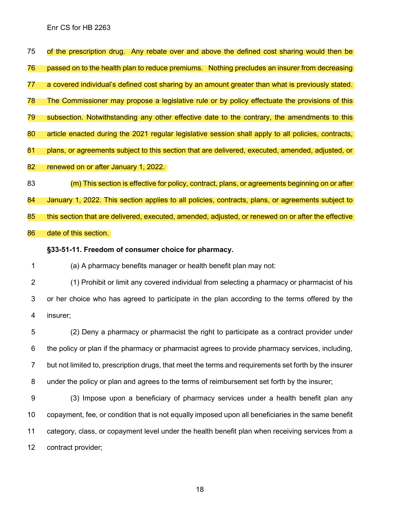of the prescription drug. Any rebate over and above the defined cost sharing would then be passed on to the health plan to reduce premiums. Nothing precludes an insurer from decreasing a covered individual's defined cost sharing by an amount greater than what is previously stated. The Commissioner may propose a legislative rule or by policy effectuate the provisions of this subsection. Notwithstanding any other effective date to the contrary, the amendments to this article enacted during the 2021 regular legislative session shall apply to all policies, contracts, plans, or agreements subject to this section that are delivered, executed, amended, adjusted, or renewed on or after January 1, 2022. (m) This section is effective for policy, contract, plans, or agreements beginning on or after

 January 1, 2022. This section applies to all policies, contracts, plans, or agreements subject to 85 this section that are delivered, executed, amended, adjusted, or renewed on or after the effective

date of this section.

## **§33-51-11. Freedom of consumer choice for pharmacy.**

(a) A pharmacy benefits manager or health benefit plan may not:

 (1) Prohibit or limit any covered individual from selecting a pharmacy or pharmacist of his or her choice who has agreed to participate in the plan according to the terms offered by the insurer;

 (2) Deny a pharmacy or pharmacist the right to participate as a contract provider under the policy or plan if the pharmacy or pharmacist agrees to provide pharmacy services, including, but not limited to, prescription drugs, that meet the terms and requirements set forth by the insurer under the policy or plan and agrees to the terms of reimbursement set forth by the insurer;

 (3) Impose upon a beneficiary of pharmacy services under a health benefit plan any copayment, fee, or condition that is not equally imposed upon all beneficiaries in the same benefit category, class, or copayment level under the health benefit plan when receiving services from a contract provider;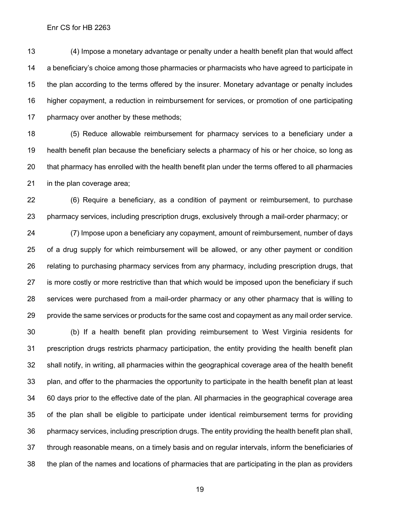(4) Impose a monetary advantage or penalty under a health benefit plan that would affect a beneficiary's choice among those pharmacies or pharmacists who have agreed to participate in the plan according to the terms offered by the insurer. Monetary advantage or penalty includes higher copayment, a reduction in reimbursement for services, or promotion of one participating 17 pharmacy over another by these methods;

 (5) Reduce allowable reimbursement for pharmacy services to a beneficiary under a health benefit plan because the beneficiary selects a pharmacy of his or her choice, so long as that pharmacy has enrolled with the health benefit plan under the terms offered to all pharmacies in the plan coverage area;

 (6) Require a beneficiary, as a condition of payment or reimbursement, to purchase pharmacy services, including prescription drugs, exclusively through a mail-order pharmacy; or

 (7) Impose upon a beneficiary any copayment, amount of reimbursement, number of days of a drug supply for which reimbursement will be allowed, or any other payment or condition relating to purchasing pharmacy services from any pharmacy, including prescription drugs, that is more costly or more restrictive than that which would be imposed upon the beneficiary if such services were purchased from a mail-order pharmacy or any other pharmacy that is willing to provide the same services or products for the same cost and copayment as any mail order service.

 (b) If a health benefit plan providing reimbursement to West Virginia residents for prescription drugs restricts pharmacy participation, the entity providing the health benefit plan shall notify, in writing, all pharmacies within the geographical coverage area of the health benefit plan, and offer to the pharmacies the opportunity to participate in the health benefit plan at least 60 days prior to the effective date of the plan. All pharmacies in the geographical coverage area of the plan shall be eligible to participate under identical reimbursement terms for providing pharmacy services, including prescription drugs. The entity providing the health benefit plan shall, through reasonable means, on a timely basis and on regular intervals, inform the beneficiaries of the plan of the names and locations of pharmacies that are participating in the plan as providers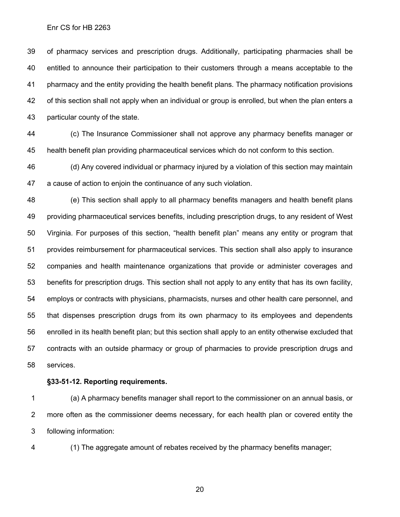of pharmacy services and prescription drugs. Additionally, participating pharmacies shall be entitled to announce their participation to their customers through a means acceptable to the pharmacy and the entity providing the health benefit plans. The pharmacy notification provisions of this section shall not apply when an individual or group is enrolled, but when the plan enters a particular county of the state.

 (c) The Insurance Commissioner shall not approve any pharmacy benefits manager or health benefit plan providing pharmaceutical services which do not conform to this section.

 (d) Any covered individual or pharmacy injured by a violation of this section may maintain a cause of action to enjoin the continuance of any such violation.

 (e) This section shall apply to all pharmacy benefits managers and health benefit plans providing pharmaceutical services benefits, including prescription drugs, to any resident of West Virginia. For purposes of this section, "health benefit plan" means any entity or program that provides reimbursement for pharmaceutical services. This section shall also apply to insurance companies and health maintenance organizations that provide or administer coverages and benefits for prescription drugs. This section shall not apply to any entity that has its own facility, employs or contracts with physicians, pharmacists, nurses and other health care personnel, and that dispenses prescription drugs from its own pharmacy to its employees and dependents enrolled in its health benefit plan; but this section shall apply to an entity otherwise excluded that contracts with an outside pharmacy or group of pharmacies to provide prescription drugs and services.

### **§33-51-12. Reporting requirements.**

 (a) A pharmacy benefits manager shall report to the commissioner on an annual basis, or more often as the commissioner deems necessary, for each health plan or covered entity the following information:

(1) The aggregate amount of rebates received by the pharmacy benefits manager;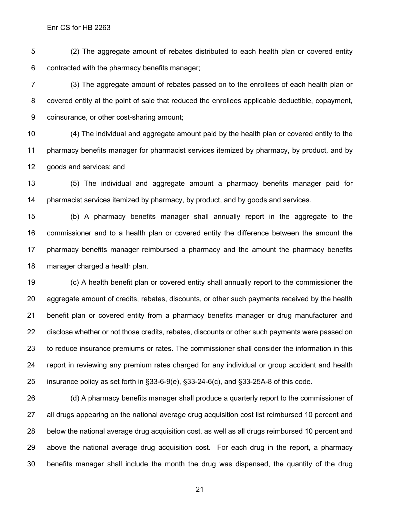(2) The aggregate amount of rebates distributed to each health plan or covered entity contracted with the pharmacy benefits manager;

 (3) The aggregate amount of rebates passed on to the enrollees of each health plan or covered entity at the point of sale that reduced the enrollees applicable deductible, copayment, coinsurance, or other cost-sharing amount;

 (4) The individual and aggregate amount paid by the health plan or covered entity to the pharmacy benefits manager for pharmacist services itemized by pharmacy, by product, and by goods and services; and

 (5) The individual and aggregate amount a pharmacy benefits manager paid for pharmacist services itemized by pharmacy, by product, and by goods and services.

 (b) A pharmacy benefits manager shall annually report in the aggregate to the commissioner and to a health plan or covered entity the difference between the amount the pharmacy benefits manager reimbursed a pharmacy and the amount the pharmacy benefits manager charged a health plan.

 (c) A health benefit plan or covered entity shall annually report to the commissioner the aggregate amount of credits, rebates, discounts, or other such payments received by the health benefit plan or covered entity from a pharmacy benefits manager or drug manufacturer and disclose whether or not those credits, rebates, discounts or other such payments were passed on to reduce insurance premiums or rates. The commissioner shall consider the information in this report in reviewing any premium rates charged for any individual or group accident and health insurance policy as set forth in §33-6-9(e), §33-24-6(c), and §33-25A-8 of this code.

 (d) A pharmacy benefits manager shall produce a quarterly report to the commissioner of all drugs appearing on the national average drug acquisition cost list reimbursed 10 percent and below the national average drug acquisition cost, as well as all drugs reimbursed 10 percent and above the national average drug acquisition cost. For each drug in the report, a pharmacy benefits manager shall include the month the drug was dispensed, the quantity of the drug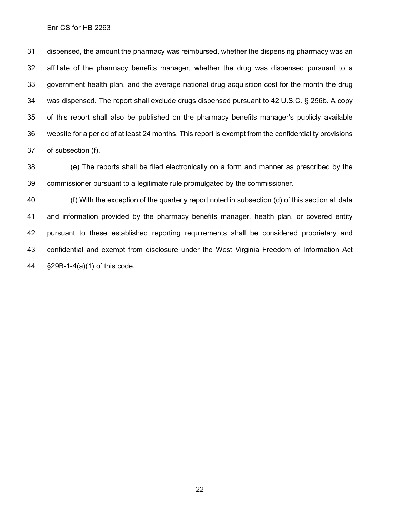dispensed, the amount the pharmacy was reimbursed, whether the dispensing pharmacy was an affiliate of the pharmacy benefits manager, whether the drug was dispensed pursuant to a government health plan, and the average national drug acquisition cost for the month the drug was dispensed. The report shall exclude drugs dispensed pursuant to 42 U.S.C. § 256b. A copy of this report shall also be published on the pharmacy benefits manager's publicly available website for a period of at least 24 months. This report is exempt from the confidentiality provisions of subsection (f).

 (e) The reports shall be filed electronically on a form and manner as prescribed by the commissioner pursuant to a legitimate rule promulgated by the commissioner.

 (f) With the exception of the quarterly report noted in subsection (d) of this section all data and information provided by the pharmacy benefits manager, health plan, or covered entity pursuant to these established reporting requirements shall be considered proprietary and confidential and exempt from disclosure under the West Virginia Freedom of Information Act §29B-1-4(a)(1) of this code.